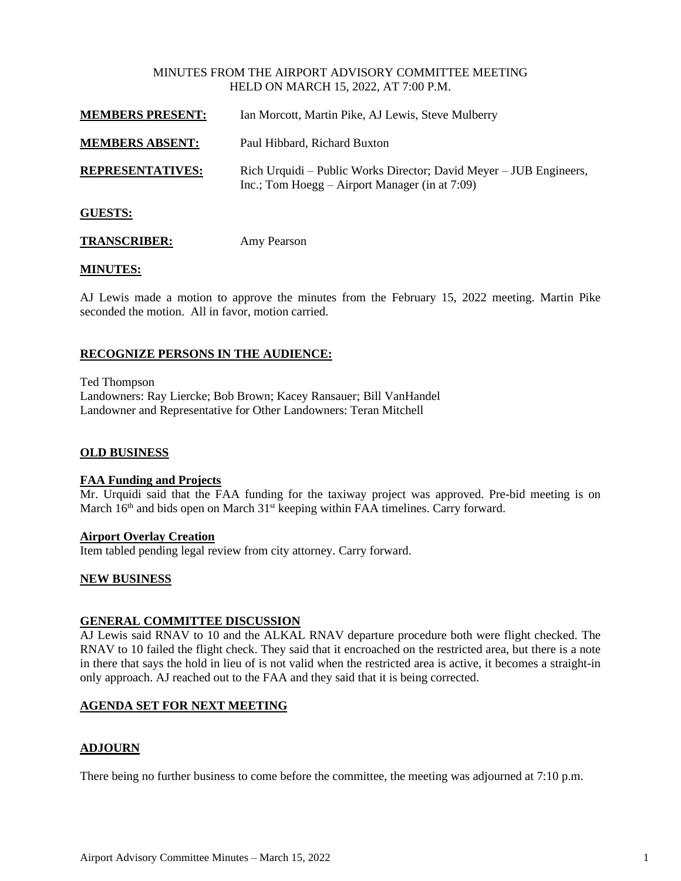#### MINUTES FROM THE AIRPORT ADVISORY COMMITTEE MEETING HELD ON MARCH 15, 2022, AT 7:00 P.M.

| <b>MEMBERS PRESENT:</b> | Ian Morcott, Martin Pike, AJ Lewis, Steve Mulberry                                                                     |
|-------------------------|------------------------------------------------------------------------------------------------------------------------|
| <b>MEMBERS ABSENT:</b>  | Paul Hibbard, Richard Buxton                                                                                           |
| <b>REPRESENTATIVES:</b> | Rich Urquidi – Public Works Director; David Meyer – JUB Engineers,<br>Inc.; Tom Hoegg $-$ Airport Manager (in at 7:09) |
| <b>GUESTS:</b>          |                                                                                                                        |

## **TRANSCRIBER:** Amy Pearson

#### **MINUTES:**

AJ Lewis made a motion to approve the minutes from the February 15, 2022 meeting. Martin Pike seconded the motion. All in favor, motion carried.

#### **RECOGNIZE PERSONS IN THE AUDIENCE:**

Ted Thompson Landowners: Ray Liercke; Bob Brown; Kacey Ransauer; Bill VanHandel Landowner and Representative for Other Landowners: Teran Mitchell

#### **OLD BUSINESS**

#### **FAA Funding and Projects**

Mr. Urquidi said that the FAA funding for the taxiway project was approved. Pre-bid meeting is on March  $16<sup>th</sup>$  and bids open on March  $31<sup>st</sup>$  keeping within FAA timelines. Carry forward.

#### **Airport Overlay Creation**

Item tabled pending legal review from city attorney. Carry forward.

#### **NEW BUSINESS**

#### **GENERAL COMMITTEE DISCUSSION**

AJ Lewis said RNAV to 10 and the ALKAL RNAV departure procedure both were flight checked. The RNAV to 10 failed the flight check. They said that it encroached on the restricted area, but there is a note in there that says the hold in lieu of is not valid when the restricted area is active, it becomes a straight-in only approach. AJ reached out to the FAA and they said that it is being corrected.

#### **AGENDA SET FOR NEXT MEETING**

#### **ADJOURN**

There being no further business to come before the committee, the meeting was adjourned at 7:10 p.m.